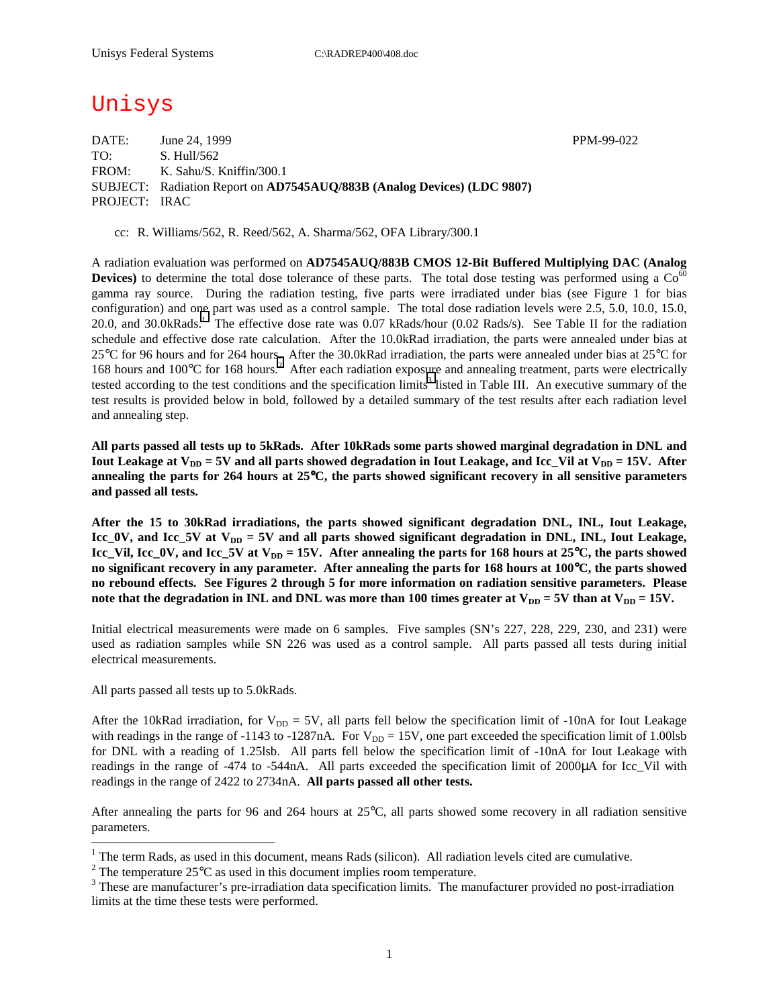# Unisys

DATE: June 24, 1999 PPM-99-022 TO: S. Hull/562 FROM: K. Sahu/S. Kniffin/300.1 SUBJECT: Radiation Report on **AD7545AUQ/883B (Analog Devices) (LDC 9807)** PROJECT: IRAC

cc: R. Williams/562, R. Reed/562, A. Sharma/562, OFA Library/300.1

A radiation evaluation was performed on **AD7545AUQ/883B CMOS 12-Bit Buffered Multiplying DAC (Analog Devices**) to determine the total dose tolerance of these parts. The total dose testing was performed using a  $Co^{60}$ gamma ray source. During the radiation testing, five parts were irradiated under bias (see Figure 1 for bias configuration) and one part was used as a control sample. The total dose radiation levels were 2.5, 5.0, 10.0, 15.0, 20.0, and 30.0kRads.<sup>1</sup> The effective dose rate was 0.07 kRads/hour (0.02 Rads/s). See Table II for the radiation schedule and effective dose rate calculation. After the 10.0kRad irradiation, the parts were annealed under bias at 25°C for 96 hours and for 264 hours. After the 30.0kRad irradiation, the parts were annealed under bias at 25°C for 168 hours and 100°C for 168 hours.<sup>2</sup> After each radiation exposure and annealing treatment, parts were electrically tested according to the test conditions and the specification limits<sup>3</sup> listed in Table III. An executive summary of the test results is provided below in bold, followed by a detailed summary of the test results after each radiation level and annealing step.

**All parts passed all tests up to 5kRads. After 10kRads some parts showed marginal degradation in DNL and**  Iout Leakage at V<sub>DD</sub> = 5V and all parts showed degradation in Iout Leakage, and Icc\_Vil at V<sub>DD</sub> = 15V. After **annealing the parts for 264 hours at 25**°**C, the parts showed significant recovery in all sensitive parameters and passed all tests.** 

**After the 15 to 30kRad irradiations, the parts showed significant degradation DNL, INL, Iout Leakage,**  Icc\_0V, and Icc\_5V at V<sub>DD</sub> = 5V and all parts showed significant degradation in DNL, INL, Iout Leakage, Icc\_Vil, Icc\_0V, and Icc\_5V at  $V_{DD} = 15V$ . After annealing the parts for 168 hours at 25<sup>o</sup>C, the parts showed **no significant recovery in any parameter. After annealing the parts for 168 hours at 100**°**C, the parts showed no rebound effects. See Figures 2 through 5 for more information on radiation sensitive parameters. Please**  note that the degradation in INL and DNL was more than 100 times greater at  $V_{DD} = 5V$  than at  $V_{DD} = 15V$ .

Initial electrical measurements were made on 6 samples. Five samples (SN's 227, 228, 229, 230, and 231) were used as radiation samples while SN 226 was used as a control sample. All parts passed all tests during initial electrical measurements.

All parts passed all tests up to 5.0kRads.

 $\overline{a}$ 

After the 10kRad irradiation, for  $V_{DD} = 5V$ , all parts fell below the specification limit of -10nA for Iout Leakage with readings in the range of -1143 to -1287nA. For  $V_{DD} = 15V$ , one part exceeded the specification limit of 1.00lsb for DNL with a reading of 1.25lsb. All parts fell below the specification limit of -10nA for Iout Leakage with readings in the range of -474 to -544nA. All parts exceeded the specification limit of 2000µA for Icc\_Vil with readings in the range of 2422 to 2734nA. **All parts passed all other tests.**

After annealing the parts for 96 and 264 hours at 25°C, all parts showed some recovery in all radiation sensitive parameters.

<sup>&</sup>lt;sup>1</sup> The term Rads, as used in this document, means Rads (silicon). All radiation levels cited are cumulative.

<sup>&</sup>lt;sup>2</sup> The temperature 25 $^{\circ}$ C as used in this document implies room temperature.  $^3$  These are manufacturer's are irrediction date apositionism limits. The manufacturer's

<sup>&</sup>lt;sup>3</sup> These are manufacturer's pre-irradiation data specification limits. The manufacturer provided no post-irradiation limits at the time these tests were performed.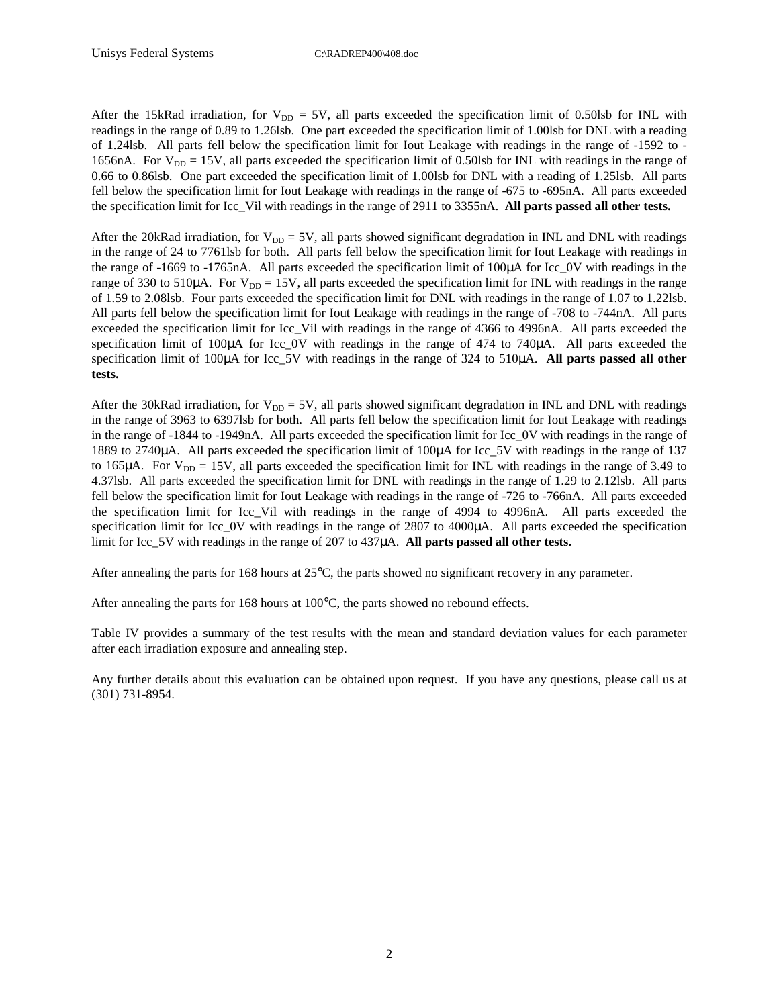After the 15kRad irradiation, for  $V_{DD} = 5V$ , all parts exceeded the specification limit of 0.50lsb for INL with readings in the range of 0.89 to 1.26lsb. One part exceeded the specification limit of 1.00lsb for DNL with a reading of 1.24lsb. All parts fell below the specification limit for Iout Leakage with readings in the range of -1592 to - 1656nA. For  $V_{DD} = 15V$ , all parts exceeded the specification limit of 0.50lsb for INL with readings in the range of 0.66 to 0.86lsb. One part exceeded the specification limit of 1.00lsb for DNL with a reading of 1.25lsb. All parts fell below the specification limit for Iout Leakage with readings in the range of -675 to -695nA. All parts exceeded the specification limit for Icc\_Vil with readings in the range of 2911 to 3355nA. **All parts passed all other tests.**

After the 20kRad irradiation, for  $V_{DD} = 5V$ , all parts showed significant degradation in INL and DNL with readings in the range of 24 to 7761lsb for both. All parts fell below the specification limit for Iout Leakage with readings in the range of -1669 to -1765nA. All parts exceeded the specification limit of 100µA for Icc\_0V with readings in the range of 330 to 510 $\mu$ A. For V<sub>DD</sub> = 15V, all parts exceeded the specification limit for INL with readings in the range of 1.59 to 2.08lsb. Four parts exceeded the specification limit for DNL with readings in the range of 1.07 to 1.22lsb. All parts fell below the specification limit for Iout Leakage with readings in the range of -708 to -744nA. All parts exceeded the specification limit for Icc\_Vil with readings in the range of 4366 to 4996nA. All parts exceeded the specification limit of 100µA for Icc\_0V with readings in the range of 474 to 740µA. All parts exceeded the specification limit of 100 $\mu$ A for Icc 5V with readings in the range of 324 to 510 $\mu$ A. **All parts passed all other tests.**

After the 30kRad irradiation, for  $V_{DD} = 5V$ , all parts showed significant degradation in INL and DNL with readings in the range of 3963 to 6397lsb for both. All parts fell below the specification limit for Iout Leakage with readings in the range of -1844 to -1949nA. All parts exceeded the specification limit for Icc\_0V with readings in the range of 1889 to 2740µA. All parts exceeded the specification limit of 100µA for Icc\_5V with readings in the range of 137 to 165 $\mu$ A. For V<sub>DD</sub> = 15V, all parts exceeded the specification limit for INL with readings in the range of 3.49 to 4.37lsb. All parts exceeded the specification limit for DNL with readings in the range of 1.29 to 2.12lsb. All parts fell below the specification limit for Iout Leakage with readings in the range of -726 to -766nA. All parts exceeded the specification limit for Icc\_Vil with readings in the range of 4994 to 4996nA. All parts exceeded the specification limit for Icc 0V with readings in the range of 2807 to 4000µA. All parts exceeded the specification limit for Icc\_5V with readings in the range of 207 to 437µA. **All parts passed all other tests.**

After annealing the parts for 168 hours at 25°C, the parts showed no significant recovery in any parameter.

After annealing the parts for 168 hours at 100°C, the parts showed no rebound effects.

Table IV provides a summary of the test results with the mean and standard deviation values for each parameter after each irradiation exposure and annealing step.

Any further details about this evaluation can be obtained upon request. If you have any questions, please call us at (301) 731-8954.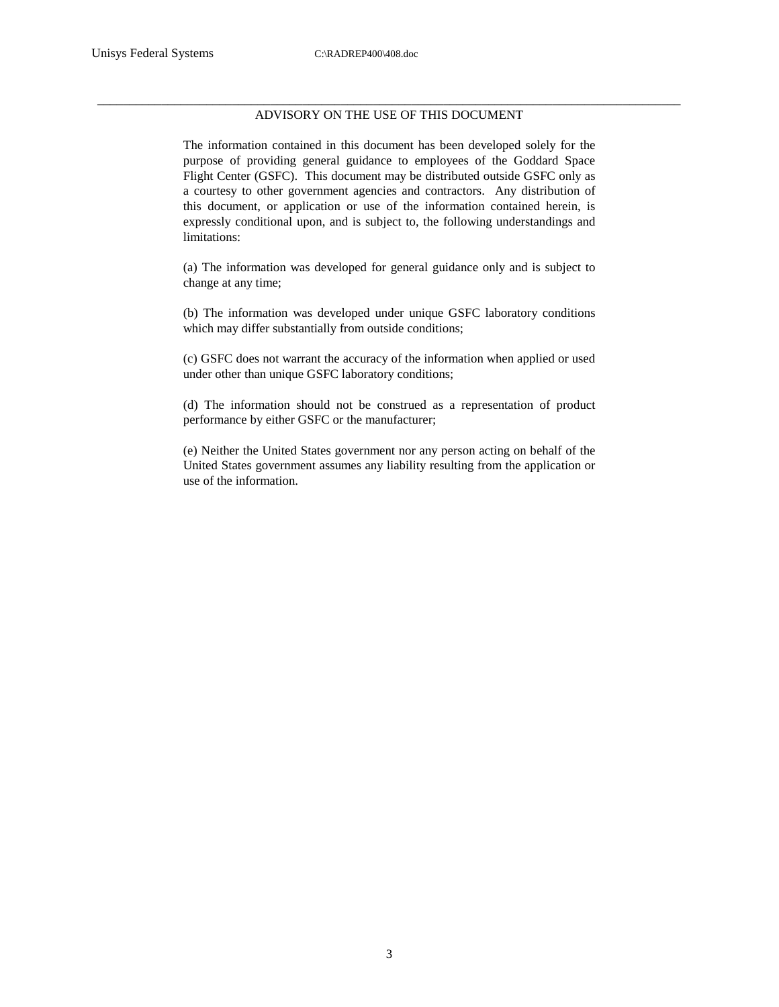### \_\_\_\_\_\_\_\_\_\_\_\_\_\_\_\_\_\_\_\_\_\_\_\_\_\_\_\_\_\_\_\_\_\_\_\_\_\_\_\_\_\_\_\_\_\_\_\_\_\_\_\_\_\_\_\_\_\_\_\_\_\_\_\_\_\_\_\_\_\_\_\_\_\_\_\_\_\_\_\_\_\_\_\_\_\_\_\_\_\_\_ ADVISORY ON THE USE OF THIS DOCUMENT

The information contained in this document has been developed solely for the purpose of providing general guidance to employees of the Goddard Space Flight Center (GSFC). This document may be distributed outside GSFC only as a courtesy to other government agencies and contractors. Any distribution of this document, or application or use of the information contained herein, is expressly conditional upon, and is subject to, the following understandings and limitations:

(a) The information was developed for general guidance only and is subject to change at any time;

(b) The information was developed under unique GSFC laboratory conditions which may differ substantially from outside conditions;

(c) GSFC does not warrant the accuracy of the information when applied or used under other than unique GSFC laboratory conditions;

(d) The information should not be construed as a representation of product performance by either GSFC or the manufacturer;

(e) Neither the United States government nor any person acting on behalf of the United States government assumes any liability resulting from the application or use of the information.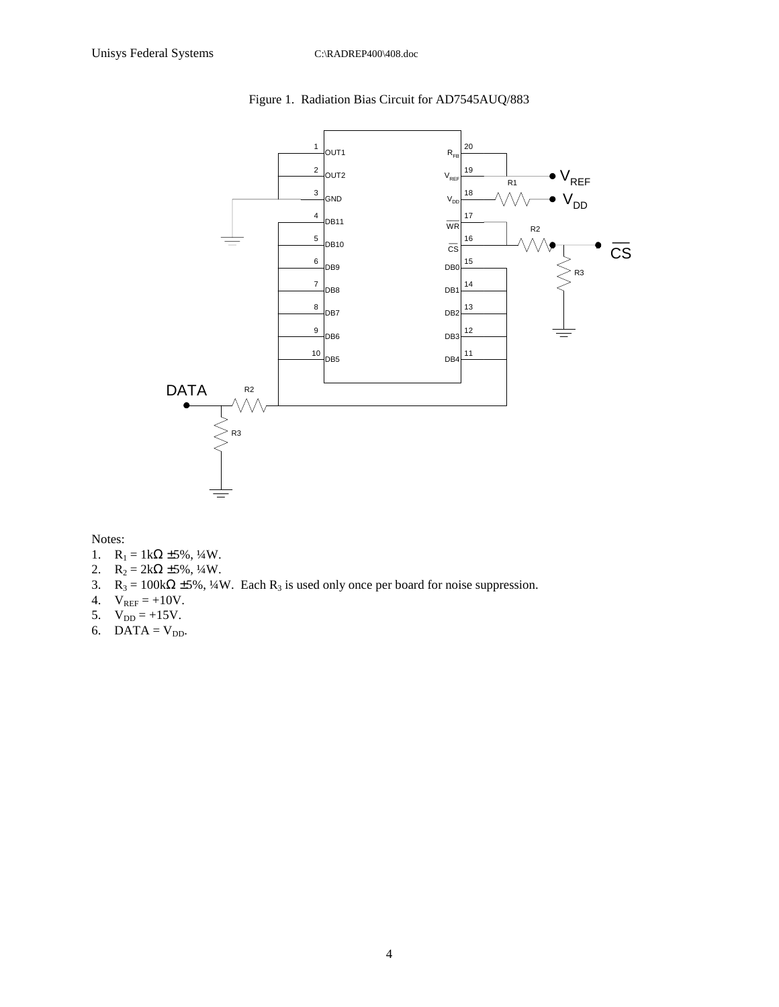

Figure 1. Radiation Bias Circuit for AD7545AUQ/883

Notes:

- 1.  $R_1 = 1k\Omega \pm 5\%, \frac{1}{4}W$ .
- 2.  $R_2 = 2k\Omega \pm 5\%, \frac{1}{4}W$ .
- 3. R<sub>3</sub> = 100k $\Omega$  ±5%, ¼W. Each R<sub>3</sub> is used only once per board for noise suppression.
- 4.  $V_{REF} = +10V$ .
- 5.  $V_{DD} = +15V$ .
- 6.  $\overline{DATA} = V_{DD}$ .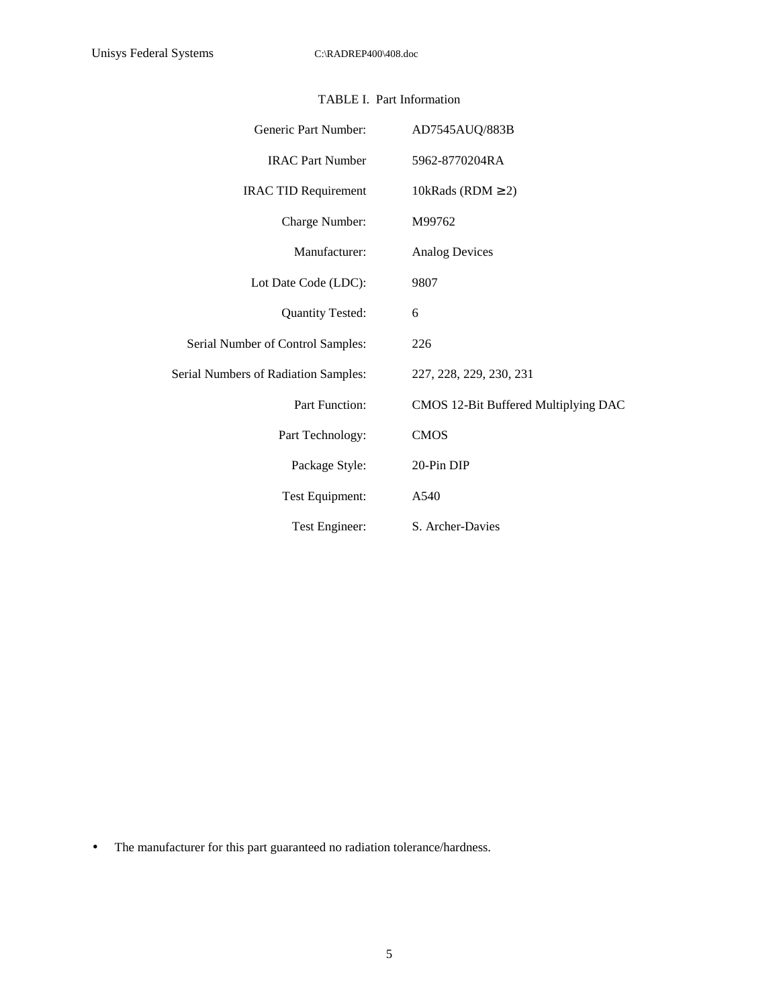| Generic Part Number:                 | AD7545AUQ/883B                       |
|--------------------------------------|--------------------------------------|
| <b>IRAC Part Number</b>              | 5962-8770204RA                       |
| <b>IRAC TID Requirement</b>          | 10kRads (RDM $\geq$ 2)               |
| Charge Number:                       | M99762                               |
| Manufacturer:                        | <b>Analog Devices</b>                |
| Lot Date Code (LDC):                 | 9807                                 |
| <b>Quantity Tested:</b>              | 6                                    |
| Serial Number of Control Samples:    | 226                                  |
| Serial Numbers of Radiation Samples: | 227, 228, 229, 230, 231              |
| Part Function:                       | CMOS 12-Bit Buffered Multiplying DAC |
| Part Technology:                     | <b>CMOS</b>                          |
| Package Style:                       | 20-Pin DIP                           |
| Test Equipment:                      | A540                                 |
| Test Engineer:                       | S. Archer-Davies                     |

### TABLE I. Part Information

• The manufacturer for this part guaranteed no radiation tolerance/hardness.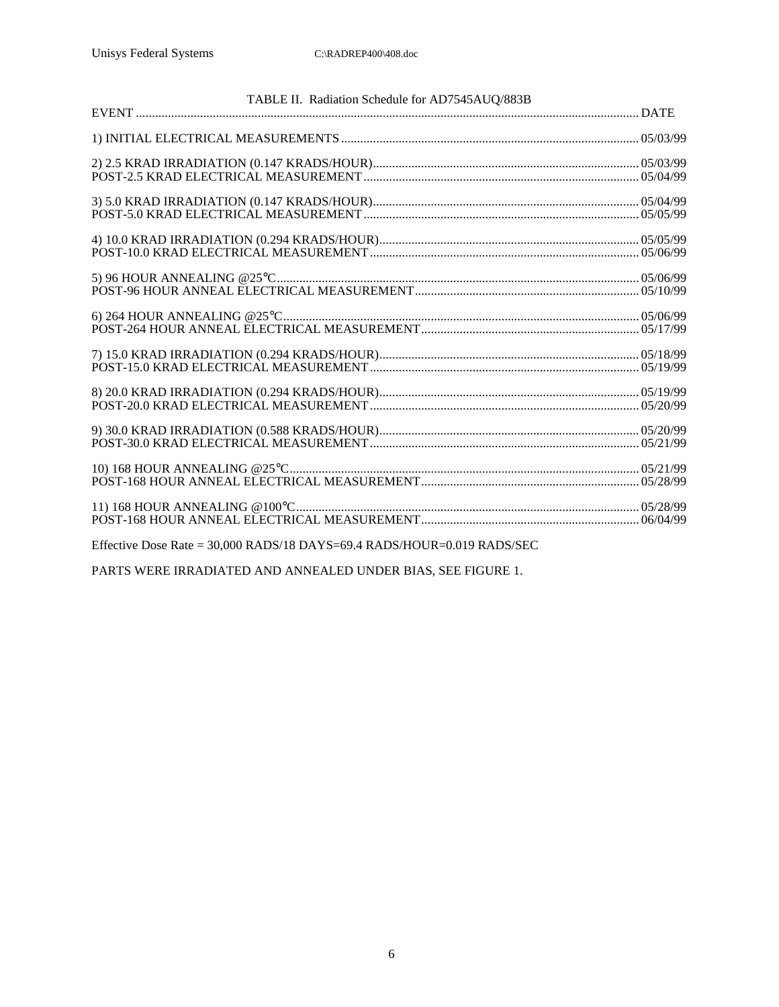| TABLE II. Radiation Schedule for AD7545AUQ/883B                           |  |
|---------------------------------------------------------------------------|--|
|                                                                           |  |
|                                                                           |  |
|                                                                           |  |
|                                                                           |  |
|                                                                           |  |
|                                                                           |  |
|                                                                           |  |
|                                                                           |  |
|                                                                           |  |
|                                                                           |  |
|                                                                           |  |
| Effective Dose Rate = $30,000$ RADS/18 DAYS=69.4 RADS/HOUR=0.019 RADS/SEC |  |

PARTS WERE IRRADIATED AND ANNEALED UNDER BIAS, SEE FIGURE 1.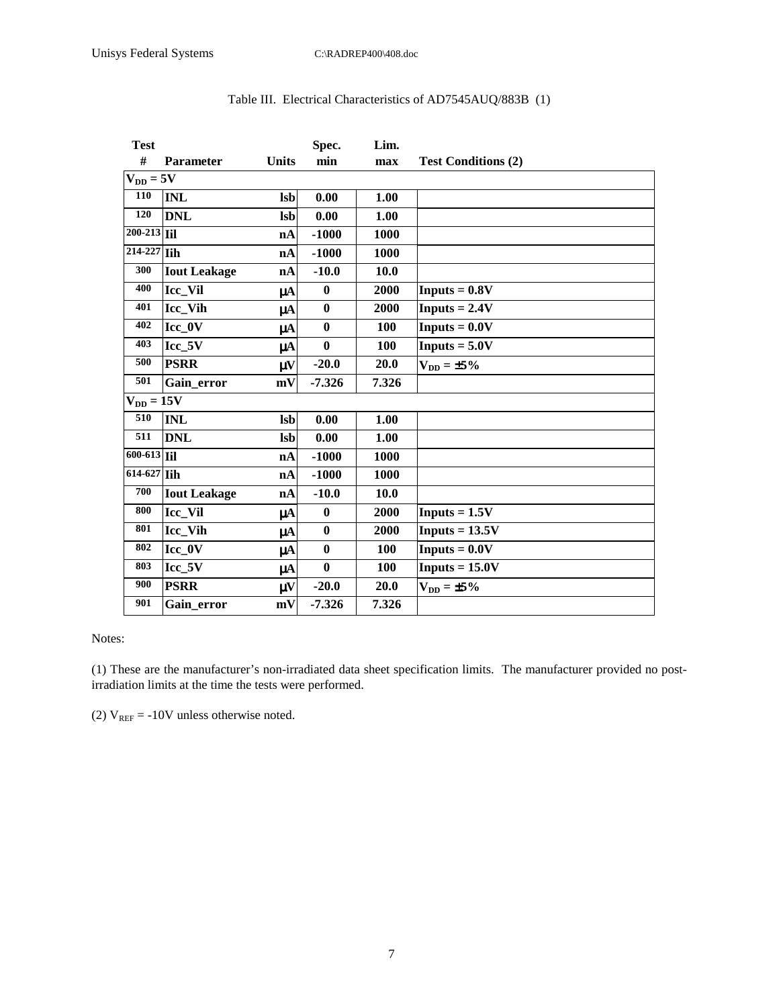| <b>Test</b>              |                     |                 | Spec.            | Lim.  |                                   |
|--------------------------|---------------------|-----------------|------------------|-------|-----------------------------------|
| #                        | <b>Parameter</b>    | <b>Units</b>    | min              | max   | <b>Test Conditions (2)</b>        |
| $V_{DD} = 5V$            |                     |                 |                  |       |                                   |
| 110                      | <b>INL</b>          | <b>lsb</b>      | 0.00             | 1.00  |                                   |
| 120                      | <b>DNL</b>          | <b>lsb</b>      | 0.00             | 1.00  |                                   |
| $200 - 213$ Iil          |                     | nA              | $-1000$          | 1000  |                                   |
| $214-227$ Iih            |                     | nA              | $-1000$          | 1000  |                                   |
| 300                      | <b>Iout Leakage</b> | nA              | $-10.0$          | 10.0  |                                   |
| 400                      | Icc_Vil             | $\mu A$         | $\boldsymbol{0}$ | 2000  | $Inputs = 0.8V$                   |
| 401                      | Icc Vih             | μA              | $\bf{0}$         | 2000  | $InputStream = 2.4V$              |
| 402                      | Icc 0V              | $\mu\mathrm{A}$ | $\bf{0}$         | 100   | $Inputs = 0.0V$                   |
| 403                      | Icc 5V              | μA              | $\bf{0}$         | 100   | $InputStream = 5.0V$              |
| 500                      | <b>PSRR</b>         | $\mu$ V         | $-20.0$          | 20.0  | $V_{DD} = \pm 5\%$                |
| 501                      | Gain_error          | mV              | $-7.326$         | 7.326 |                                   |
| $V_{DD} = 15V$           |                     |                 |                  |       |                                   |
| 510                      | <b>INL</b>          | <b>lsb</b>      | 0.00             | 1.00  |                                   |
| 511                      | <b>DNL</b>          | <b>lsb</b>      | 0.00             | 1.00  |                                   |
| $\overline{600-613}$ Iil |                     | nA              | $-1000$          | 1000  |                                   |
| $\overline{614-627}$ Iih |                     | nA              | $-1000$          | 1000  |                                   |
| 700                      | <b>Iout Leakage</b> | nA              | $-10.0$          | 10.0  |                                   |
| 800                      | Icc_Vil             | μA              | $\bf{0}$         | 2000  | $InputStream = 1.5V$              |
| 801                      | Icc Vih             | $\mu A$         | $\bf{0}$         | 2000  | $InputStream = 13.5V$             |
| 802                      | $Icc_0$             | μA              | $\bf{0}$         | 100   | <b>Inputs = <math>0.0V</math></b> |
| 803                      | $Icc_5V$            | μA              | $\bf{0}$         | 100   | $InputStream = 15.0V$             |
| 900                      | <b>PSRR</b>         | $\mu V$         | $-20.0$          | 20.0  | $V_{DD} = \pm 5\%$                |
| 901                      | Gain_error          | mV              | $-7.326$         | 7.326 |                                   |

## Table III. Electrical Characteristics of AD7545AUQ/883B (1)

### Notes:

(1) These are the manufacturer's non-irradiated data sheet specification limits. The manufacturer provided no postirradiation limits at the time the tests were performed.

(2)  $V_{REF} = -10V$  unless otherwise noted.